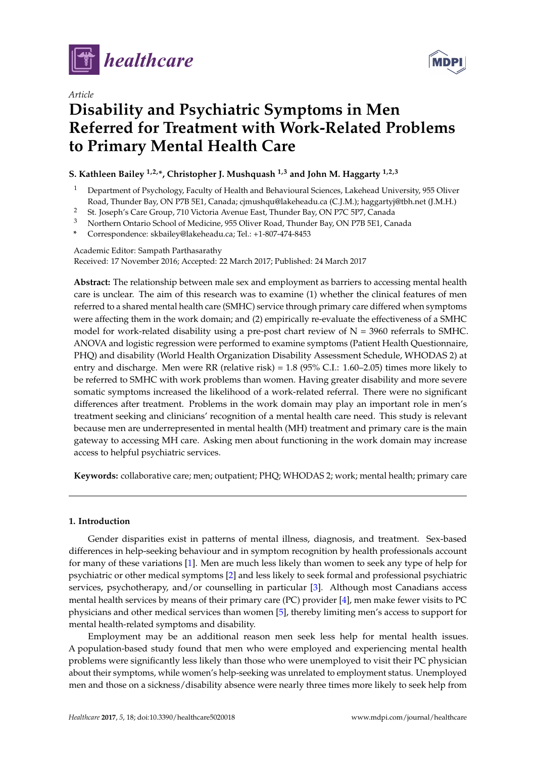

*Article*



# **Disability and Psychiatric Symptoms in Men Referred for Treatment with Work-Related Problems to Primary Mental Health Care**

# **S. Kathleen Bailey 1,2,\*, Christopher J. Mushquash 1,3 and John M. Haggarty 1,2,3**

- <sup>1</sup> Department of Psychology, Faculty of Health and Behavioural Sciences, Lakehead University, 955 Oliver Road, Thunder Bay, ON P7B 5E1, Canada; cjmushqu@lakeheadu.ca (C.J.M.); haggartyj@tbh.net (J.M.H.)
- <sup>2</sup> St. Joseph's Care Group, 710 Victoria Avenue East, Thunder Bay, ON P7C 5P7, Canada
- <sup>3</sup> Northern Ontario School of Medicine, 955 Oliver Road, Thunder Bay, ON P7B 5E1, Canada

**\*** Correspondence: skbailey@lakeheadu.ca; Tel.: +1-807-474-8453

Academic Editor: Sampath Parthasarathy Received: 17 November 2016; Accepted: 22 March 2017; Published: 24 March 2017

**Abstract:** The relationship between male sex and employment as barriers to accessing mental health care is unclear. The aim of this research was to examine (1) whether the clinical features of men referred to a shared mental health care (SMHC) service through primary care differed when symptoms were affecting them in the work domain; and (2) empirically re-evaluate the effectiveness of a SMHC model for work-related disability using a pre-post chart review of  $N = 3960$  referrals to SMHC. ANOVA and logistic regression were performed to examine symptoms (Patient Health Questionnaire, PHQ) and disability (World Health Organization Disability Assessment Schedule, WHODAS 2) at entry and discharge. Men were RR (relative risk) = 1.8 (95% C.I.: 1.60–2.05) times more likely to be referred to SMHC with work problems than women. Having greater disability and more severe somatic symptoms increased the likelihood of a work-related referral. There were no significant differences after treatment. Problems in the work domain may play an important role in men's treatment seeking and clinicians' recognition of a mental health care need. This study is relevant because men are underrepresented in mental health (MH) treatment and primary care is the main gateway to accessing MH care. Asking men about functioning in the work domain may increase access to helpful psychiatric services.

**Keywords:** collaborative care; men; outpatient; PHQ; WHODAS 2; work; mental health; primary care

# **1. Introduction**

Gender disparities exist in patterns of mental illness, diagnosis, and treatment. Sex-based differences in help-seeking behaviour and in symptom recognition by health professionals account for many of these variations [\[1\]](#page-10-0). Men are much less likely than women to seek any type of help for psychiatric or other medical symptoms [\[2\]](#page-10-1) and less likely to seek formal and professional psychiatric services, psychotherapy, and/or counselling in particular [\[3\]](#page-10-2). Although most Canadians access mental health services by means of their primary care (PC) provider [\[4\]](#page-10-3), men make fewer visits to PC physicians and other medical services than women [\[5\]](#page-10-4), thereby limiting men's access to support for mental health-related symptoms and disability.

Employment may be an additional reason men seek less help for mental health issues. A population-based study found that men who were employed and experiencing mental health problems were significantly less likely than those who were unemployed to visit their PC physician about their symptoms, while women's help-seeking was unrelated to employment status. Unemployed men and those on a sickness/disability absence were nearly three times more likely to seek help from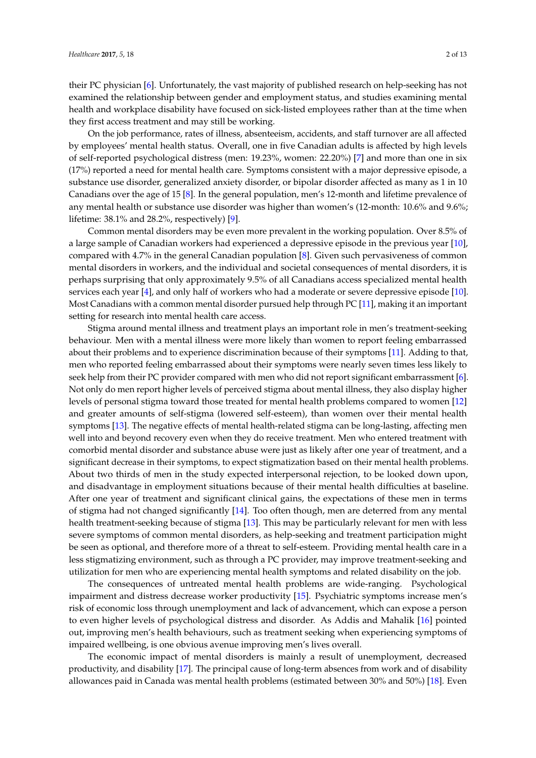their PC physician [\[6\]](#page-10-5). Unfortunately, the vast majority of published research on help-seeking has not examined the relationship between gender and employment status, and studies examining mental health and workplace disability have focused on sick-listed employees rather than at the time when they first access treatment and may still be working.

On the job performance, rates of illness, absenteeism, accidents, and staff turnover are all affected by employees' mental health status. Overall, one in five Canadian adults is affected by high levels of self-reported psychological distress (men: 19.23%, women: 22.20%) [\[7\]](#page-10-6) and more than one in six (17%) reported a need for mental health care. Symptoms consistent with a major depressive episode, a substance use disorder, generalized anxiety disorder, or bipolar disorder affected as many as 1 in 10 Canadians over the age of 15 [\[8\]](#page-10-7). In the general population, men's 12-month and lifetime prevalence of any mental health or substance use disorder was higher than women's (12-month: 10.6% and 9.6%; lifetime: 38.1% and 28.2%, respectively) [\[9\]](#page-10-8).

Common mental disorders may be even more prevalent in the working population. Over 8.5% of a large sample of Canadian workers had experienced a depressive episode in the previous year [\[10\]](#page-10-9), compared with 4.7% in the general Canadian population [\[8\]](#page-10-7). Given such pervasiveness of common mental disorders in workers, and the individual and societal consequences of mental disorders, it is perhaps surprising that only approximately 9.5% of all Canadians access specialized mental health services each year [\[4\]](#page-10-3), and only half of workers who had a moderate or severe depressive episode [\[10\]](#page-10-9). Most Canadians with a common mental disorder pursued help through PC [\[11\]](#page-10-10), making it an important setting for research into mental health care access.

Stigma around mental illness and treatment plays an important role in men's treatment-seeking behaviour. Men with a mental illness were more likely than women to report feeling embarrassed about their problems and to experience discrimination because of their symptoms [\[11\]](#page-10-10). Adding to that, men who reported feeling embarrassed about their symptoms were nearly seven times less likely to seek help from their PC provider compared with men who did not report significant embarrassment [\[6\]](#page-10-5). Not only do men report higher levels of perceived stigma about mental illness, they also display higher levels of personal stigma toward those treated for mental health problems compared to women [\[12\]](#page-10-11) and greater amounts of self-stigma (lowered self-esteem), than women over their mental health symptoms [\[13\]](#page-10-12). The negative effects of mental health-related stigma can be long-lasting, affecting men well into and beyond recovery even when they do receive treatment. Men who entered treatment with comorbid mental disorder and substance abuse were just as likely after one year of treatment, and a significant decrease in their symptoms, to expect stigmatization based on their mental health problems. About two thirds of men in the study expected interpersonal rejection, to be looked down upon, and disadvantage in employment situations because of their mental health difficulties at baseline. After one year of treatment and significant clinical gains, the expectations of these men in terms of stigma had not changed significantly [\[14\]](#page-10-13). Too often though, men are deterred from any mental health treatment-seeking because of stigma [\[13\]](#page-10-12). This may be particularly relevant for men with less severe symptoms of common mental disorders, as help-seeking and treatment participation might be seen as optional, and therefore more of a threat to self-esteem. Providing mental health care in a less stigmatizing environment, such as through a PC provider, may improve treatment-seeking and utilization for men who are experiencing mental health symptoms and related disability on the job.

The consequences of untreated mental health problems are wide-ranging. Psychological impairment and distress decrease worker productivity [\[15\]](#page-10-14). Psychiatric symptoms increase men's risk of economic loss through unemployment and lack of advancement, which can expose a person to even higher levels of psychological distress and disorder. As Addis and Mahalik [\[16\]](#page-10-15) pointed out, improving men's health behaviours, such as treatment seeking when experiencing symptoms of impaired wellbeing, is one obvious avenue improving men's lives overall.

The economic impact of mental disorders is mainly a result of unemployment, decreased productivity, and disability [\[17\]](#page-10-16). The principal cause of long-term absences from work and of disability allowances paid in Canada was mental health problems (estimated between 30% and 50%) [\[18\]](#page-11-0). Even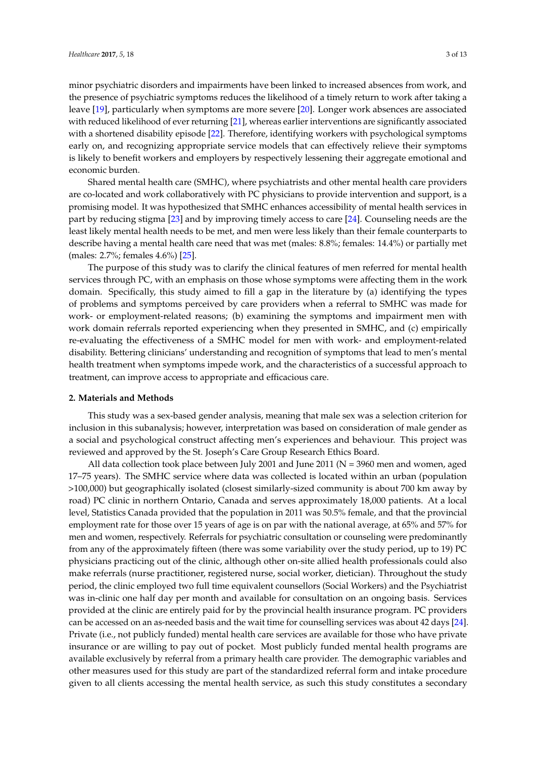minor psychiatric disorders and impairments have been linked to increased absences from work, and the presence of psychiatric symptoms reduces the likelihood of a timely return to work after taking a leave [\[19\]](#page-11-1), particularly when symptoms are more severe [\[20\]](#page-11-2). Longer work absences are associated with reduced likelihood of ever returning [\[21\]](#page-11-3), whereas earlier interventions are significantly associated with a shortened disability episode [\[22\]](#page-11-4). Therefore, identifying workers with psychological symptoms early on, and recognizing appropriate service models that can effectively relieve their symptoms is likely to benefit workers and employers by respectively lessening their aggregate emotional and economic burden.

Shared mental health care (SMHC), where psychiatrists and other mental health care providers are co-located and work collaboratively with PC physicians to provide intervention and support, is a promising model. It was hypothesized that SMHC enhances accessibility of mental health services in part by reducing stigma [\[23\]](#page-11-5) and by improving timely access to care [\[24\]](#page-11-6). Counseling needs are the least likely mental health needs to be met, and men were less likely than their female counterparts to describe having a mental health care need that was met (males: 8.8%; females: 14.4%) or partially met (males: 2.7%; females 4.6%) [\[25\]](#page-11-7).

The purpose of this study was to clarify the clinical features of men referred for mental health services through PC, with an emphasis on those whose symptoms were affecting them in the work domain. Specifically, this study aimed to fill a gap in the literature by (a) identifying the types of problems and symptoms perceived by care providers when a referral to SMHC was made for work- or employment-related reasons; (b) examining the symptoms and impairment men with work domain referrals reported experiencing when they presented in SMHC, and (c) empirically re-evaluating the effectiveness of a SMHC model for men with work- and employment-related disability. Bettering clinicians' understanding and recognition of symptoms that lead to men's mental health treatment when symptoms impede work, and the characteristics of a successful approach to treatment, can improve access to appropriate and efficacious care.

#### **2. Materials and Methods**

This study was a sex-based gender analysis, meaning that male sex was a selection criterion for inclusion in this subanalysis; however, interpretation was based on consideration of male gender as a social and psychological construct affecting men's experiences and behaviour. This project was reviewed and approved by the St. Joseph's Care Group Research Ethics Board.

All data collection took place between July 2001 and June 2011 ( $N = 3960$  men and women, aged 17–75 years). The SMHC service where data was collected is located within an urban (population >100,000) but geographically isolated (closest similarly-sized community is about 700 km away by road) PC clinic in northern Ontario, Canada and serves approximately 18,000 patients. At a local level, Statistics Canada provided that the population in 2011 was 50.5% female, and that the provincial employment rate for those over 15 years of age is on par with the national average, at 65% and 57% for men and women, respectively. Referrals for psychiatric consultation or counseling were predominantly from any of the approximately fifteen (there was some variability over the study period, up to 19) PC physicians practicing out of the clinic, although other on-site allied health professionals could also make referrals (nurse practitioner, registered nurse, social worker, dietician). Throughout the study period, the clinic employed two full time equivalent counsellors (Social Workers) and the Psychiatrist was in-clinic one half day per month and available for consultation on an ongoing basis. Services provided at the clinic are entirely paid for by the provincial health insurance program. PC providers can be accessed on an as-needed basis and the wait time for counselling services was about 42 days [\[24\]](#page-11-6). Private (i.e., not publicly funded) mental health care services are available for those who have private insurance or are willing to pay out of pocket. Most publicly funded mental health programs are available exclusively by referral from a primary health care provider. The demographic variables and other measures used for this study are part of the standardized referral form and intake procedure given to all clients accessing the mental health service, as such this study constitutes a secondary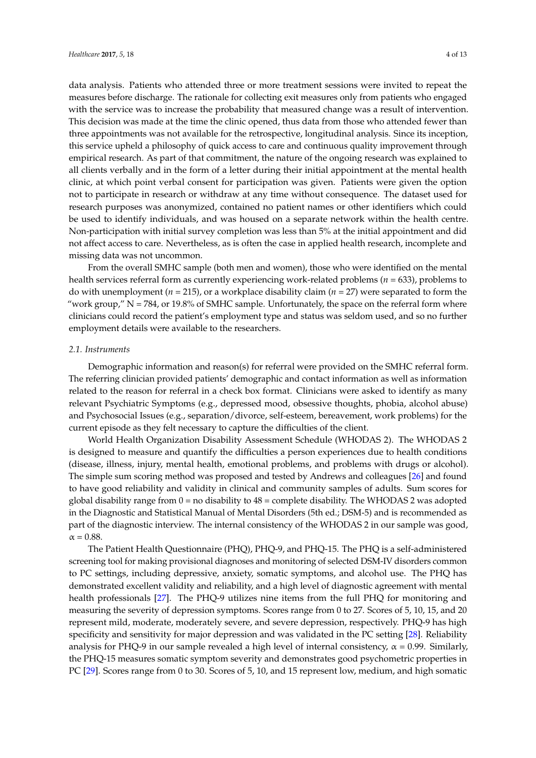data analysis. Patients who attended three or more treatment sessions were invited to repeat the measures before discharge. The rationale for collecting exit measures only from patients who engaged with the service was to increase the probability that measured change was a result of intervention. This decision was made at the time the clinic opened, thus data from those who attended fewer than three appointments was not available for the retrospective, longitudinal analysis. Since its inception, this service upheld a philosophy of quick access to care and continuous quality improvement through empirical research. As part of that commitment, the nature of the ongoing research was explained to all clients verbally and in the form of a letter during their initial appointment at the mental health clinic, at which point verbal consent for participation was given. Patients were given the option not to participate in research or withdraw at any time without consequence. The dataset used for research purposes was anonymized, contained no patient names or other identifiers which could be used to identify individuals, and was housed on a separate network within the health centre. Non-participation with initial survey completion was less than 5% at the initial appointment and did not affect access to care. Nevertheless, as is often the case in applied health research, incomplete and missing data was not uncommon.

From the overall SMHC sample (both men and women), those who were identified on the mental health services referral form as currently experiencing work-related problems (*n* = 633), problems to do with unemployment (*n* = 215), or a workplace disability claim (*n* = 27) were separated to form the "work group,"  $N = 784$ , or 19.8% of SMHC sample. Unfortunately, the space on the referral form where clinicians could record the patient's employment type and status was seldom used, and so no further employment details were available to the researchers.

#### *2.1. Instruments*

Demographic information and reason(s) for referral were provided on the SMHC referral form. The referring clinician provided patients' demographic and contact information as well as information related to the reason for referral in a check box format. Clinicians were asked to identify as many relevant Psychiatric Symptoms (e.g., depressed mood, obsessive thoughts, phobia, alcohol abuse) and Psychosocial Issues (e.g., separation/divorce, self-esteem, bereavement, work problems) for the current episode as they felt necessary to capture the difficulties of the client.

World Health Organization Disability Assessment Schedule (WHODAS 2). The WHODAS 2 is designed to measure and quantify the difficulties a person experiences due to health conditions (disease, illness, injury, mental health, emotional problems, and problems with drugs or alcohol). The simple sum scoring method was proposed and tested by Andrews and colleagues [\[26\]](#page-11-8) and found to have good reliability and validity in clinical and community samples of adults. Sum scores for global disability range from  $0 =$  no disability to  $48 =$  complete disability. The WHODAS 2 was adopted in the Diagnostic and Statistical Manual of Mental Disorders (5th ed.; DSM-5) and is recommended as part of the diagnostic interview. The internal consistency of the WHODAS 2 in our sample was good,  $\alpha = 0.88$ .

The Patient Health Questionnaire (PHQ), PHQ-9, and PHQ-15. The PHQ is a self-administered screening tool for making provisional diagnoses and monitoring of selected DSM-IV disorders common to PC settings, including depressive, anxiety, somatic symptoms, and alcohol use. The PHQ has demonstrated excellent validity and reliability, and a high level of diagnostic agreement with mental health professionals [\[27\]](#page-11-9). The PHQ-9 utilizes nine items from the full PHQ for monitoring and measuring the severity of depression symptoms. Scores range from 0 to 27. Scores of 5, 10, 15, and 20 represent mild, moderate, moderately severe, and severe depression, respectively. PHQ-9 has high specificity and sensitivity for major depression and was validated in the PC setting [\[28\]](#page-11-10). Reliability analysis for PHQ-9 in our sample revealed a high level of internal consistency,  $\alpha$  = 0.99. Similarly, the PHQ-15 measures somatic symptom severity and demonstrates good psychometric properties in PC [\[29\]](#page-11-11). Scores range from 0 to 30. Scores of 5, 10, and 15 represent low, medium, and high somatic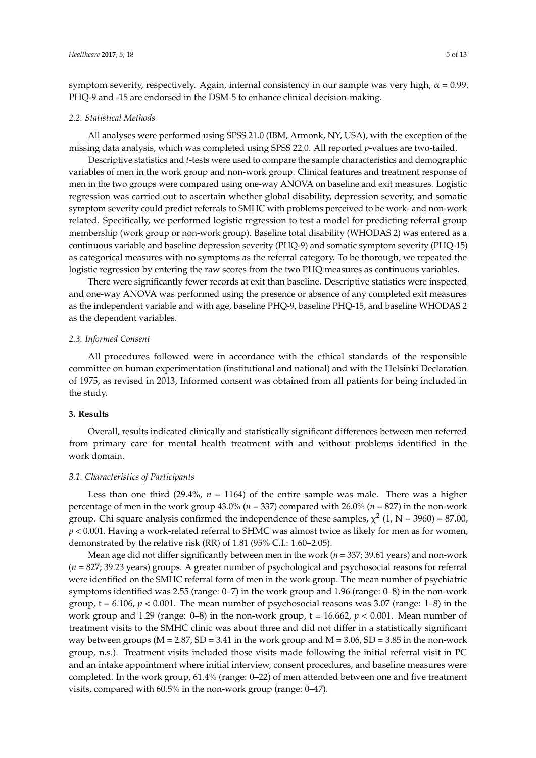symptom severity, respectively. Again, internal consistency in our sample was very high,  $\alpha$  = 0.99. PHQ-9 and -15 are endorsed in the DSM-5 to enhance clinical decision-making.

### *2.2. Statistical Methods*

All analyses were performed using SPSS 21.0 (IBM, Armonk, NY, USA), with the exception of the missing data analysis, which was completed using SPSS 22.0. All reported *p*-values are two-tailed.

Descriptive statistics and *t*-tests were used to compare the sample characteristics and demographic variables of men in the work group and non-work group. Clinical features and treatment response of men in the two groups were compared using one-way ANOVA on baseline and exit measures. Logistic regression was carried out to ascertain whether global disability, depression severity, and somatic symptom severity could predict referrals to SMHC with problems perceived to be work- and non-work related. Specifically, we performed logistic regression to test a model for predicting referral group membership (work group or non-work group). Baseline total disability (WHODAS 2) was entered as a continuous variable and baseline depression severity (PHQ-9) and somatic symptom severity (PHQ-15) as categorical measures with no symptoms as the referral category. To be thorough, we repeated the logistic regression by entering the raw scores from the two PHQ measures as continuous variables.

There were significantly fewer records at exit than baseline. Descriptive statistics were inspected and one-way ANOVA was performed using the presence or absence of any completed exit measures as the independent variable and with age, baseline PHQ-9, baseline PHQ-15, and baseline WHODAS 2 as the dependent variables.

## *2.3. Informed Consent*

All procedures followed were in accordance with the ethical standards of the responsible committee on human experimentation (institutional and national) and with the Helsinki Declaration of 1975, as revised in 2013, Informed consent was obtained from all patients for being included in the study.

# **3. Results**

Overall, results indicated clinically and statistically significant differences between men referred from primary care for mental health treatment with and without problems identified in the work domain.

## *3.1. Characteristics of Participants*

Less than one third  $(29.4\%, n = 1164)$  of the entire sample was male. There was a higher percentage of men in the work group 43.0% (*n* = 337) compared with 26.0% (*n* = 827) in the non-work group. Chi square analysis confirmed the independence of these samples,  $\chi^2$  (1, N = 3960) = 87.00, *p* < 0.001. Having a work-related referral to SHMC was almost twice as likely for men as for women, demonstrated by the relative risk (RR) of 1.81 (95% C.I.: 1.60–2.05).

Mean age did not differ significantly between men in the work (*n* = 337; 39.61 years) and non-work (*n* = 827; 39.23 years) groups. A greater number of psychological and psychosocial reasons for referral were identified on the SMHC referral form of men in the work group. The mean number of psychiatric symptoms identified was 2.55 (range: 0–7) in the work group and 1.96 (range: 0–8) in the non-work group,  $t = 6.106$ ,  $p < 0.001$ . The mean number of psychosocial reasons was 3.07 (range: 1–8) in the work group and 1.29 (range:  $0-8$ ) in the non-work group,  $t = 16.662$ ,  $p < 0.001$ . Mean number of treatment visits to the SMHC clinic was about three and did not differ in a statistically significant way between groups ( $M = 2.87$ ,  $SD = 3.41$  in the work group and  $M = 3.06$ ,  $SD = 3.85$  in the non-work group, n.s.). Treatment visits included those visits made following the initial referral visit in PC and an intake appointment where initial interview, consent procedures, and baseline measures were completed. In the work group, 61.4% (range: 0–22) of men attended between one and five treatment visits, compared with 60.5% in the non-work group (range: 0–47).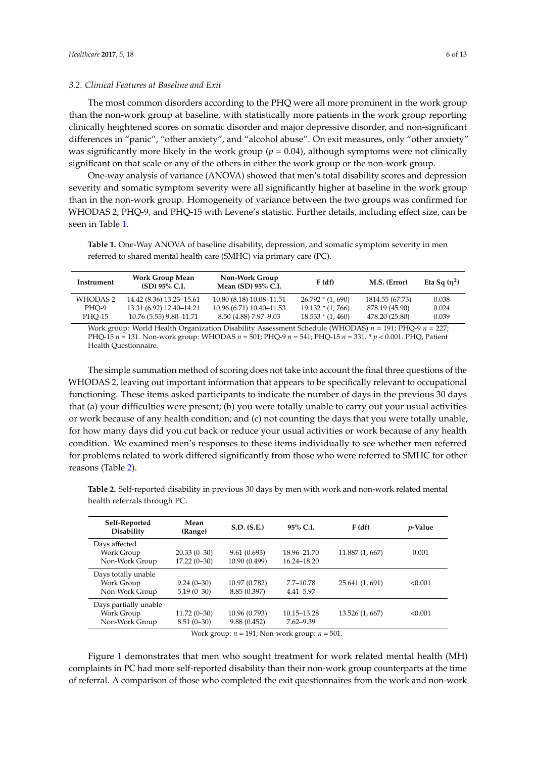#### *3.2. Clinical Features at Baseline and Exit*

The most common disorders according to the PHQ were all more prominent in the work group than the non-work group at baseline, with statistically more patients in the work group reporting clinically heightened scores on somatic disorder and major depressive disorder, and non-significant differences in "panic", "other anxiety", and "alcohol abuse". On exit measures, only "other anxiety" was significantly more likely in the work group  $(p = 0.04)$ , although symptoms were not clinically significant on that scale or any of the others in either the work group or the non-work group.

One-way analysis of variance (ANOVA) showed that men's total disability scores and depression severity and somatic symptom severity were all significantly higher at baseline in the work group than in the non-work group. Homogeneity of variance between the two groups was confirmed for WHODAS 2, PHQ-9, and PHQ-15 with Levene's statistic. Further details, including effect size, can be seen in Table [1.](#page-5-0)

<span id="page-5-0"></span>**Table 1.** One-Way ANOVA of baseline disability, depression, and somatic symptom severity in men referred to shared mental health care (SMHC) via primary care (PC).

| Instrument | <b>Work Group Mean</b><br>$(SD)$ 95% C.I. | Non-Work Group<br>Mean (SD) 95% C.I.             | F(df)               | M.S. (Error)        | Eta Sq $(n^2)$       |
|------------|-------------------------------------------|--------------------------------------------------|---------------------|---------------------|----------------------|
| WHODAS 2   | 14.42 (8.36) 13.23–15.61                  | 10.80 (8.18) 10.08 - 11.51                       | $26.792 * (1,690)$  | 1814.55 (67.73)     | 0.038                |
| PHO-9      | 13.31 (6.92) 12.40–14.21                  | 10.96 (6.71) 10.40-11.53                         | $19.132 * (1,766)$  | 878.19 (45.90)      | 0.024                |
| PHO-15     | 10.76 (5.55) 9.80–11.71                   | 8.50 (4.88) 7.97–9.03                            | $18.533 * (1, 460)$ | 478.20 (25.80)      | 0.039                |
| $T+T$ 1    | $\cdots$ $\cdots$ $\cdots$                | $\sim$ $\sim$ $\sim$ $\sim$ $\sim$ $\sim$ $\sim$ | $.0111$ $.01777$    | $404$ DIIO $\alpha$ | $\sim$ $\sim$ $\sim$ |

Work group: World Health Organization Disability Assessment Schedule (WHODAS) *n* = 191; PHQ-9 *n* = 227; PHQ-15 *n* = 131. Non-work group: WHODAS *n* = 501; PHQ-9 *n* = 541; PHQ-15 *n* = 331. \* *p* < 0.001. PHQ, Patient Health Questionnaire.

The simple summation method of scoring does not take into account the final three questions of the WHODAS 2, leaving out important information that appears to be specifically relevant to occupational functioning. These items asked participants to indicate the number of days in the previous 30 days that (a) your difficulties were present; (b) you were totally unable to carry out your usual activities or work because of any health condition; and (c) not counting the days that you were totally unable, for how many days did you cut back or reduce your usual activities or work because of any health condition. We examined men's responses to these items individually to see whether men referred for problems related to work differed significantly from those who were referred to SMHC for other reasons (Table [2\)](#page-5-1).

<span id="page-5-1"></span>**Table 2.** Self-reported disability in previous 30 days by men with work and non-work related mental health referrals through PC.

| Self-Reported<br><b>Disability</b>                    | Mean<br>(Range)                | S.D. (S.E.)                                                                | 95% C.I.                     | F(df)           | <i>p</i> -Value |
|-------------------------------------------------------|--------------------------------|----------------------------------------------------------------------------|------------------------------|-----------------|-----------------|
| Days affected<br>Work Group<br>Non-Work Group         | $20.33(0-30)$<br>$17.22(0-30)$ | 9.61(0.693)<br>10.90 (0.499)                                               | 18.96-21.70<br>16.24-18.20   | 11.887 (1, 667) | 0.001           |
| Days totally unable<br>Work Group<br>Non-Work Group   | $9.24(0-30)$<br>$5.19(0-30)$   | 10.97 (0.782)<br>8.85 (0.397)                                              | $7.7 - 10.78$<br>4.41–5.97   | 25.641 (1, 691) | < 0.001         |
| Days partially unable<br>Work Group<br>Non-Work Group | $11.72(0-30)$<br>$8.51(0-30)$  | 10.96 (0.793)<br>9.88(0.452)                                               | 10.15-13.28<br>$7.62 - 9.39$ | 13.526 (1, 667) | < 0.001         |
|                                                       |                                | $M_{\odot}$ de appearance $\mu = 101$ . Non-versale appearance $\mu = 501$ |                              |                 |                 |

Work group: *n* = 191; Non-work group: *n* = 501.

Figure [1](#page-6-0) demonstrates that men who sought treatment for work related mental health (MH) complaints in PC had more self-reported disability than their non-work group counterparts at the time of referral. A comparison of those who completed the exit questionnaires from the work and non-work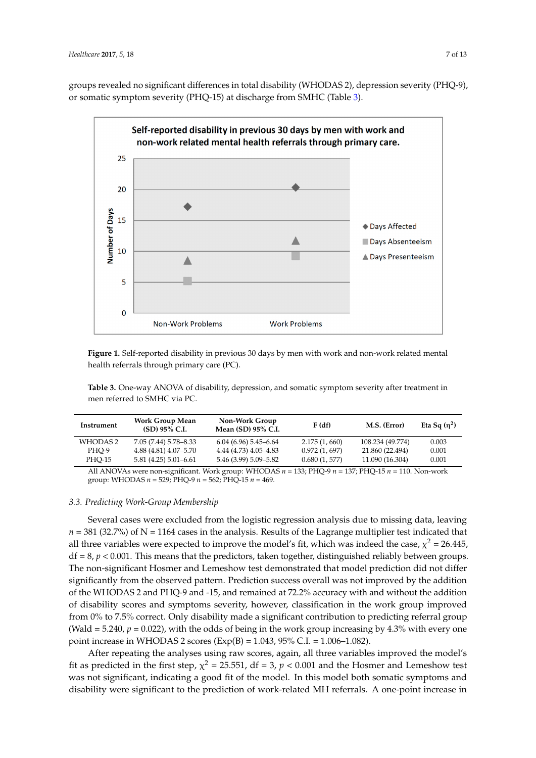groups revealed no significant differences in total disability (WHODAS 2), depression severity (PHQ-9), or somatic symptom severity (PHQ-15) at discharge from SMHC (Table [3\)](#page-6-1).

<span id="page-6-0"></span>

**Figure 1.** Self-reported disability in previous 30 days by men with work and non-work related **Figure 1.** Self-reported disability in previous 30 days by men with work and non-work related mental mental health referrals through primary care (PC). health referrals through primary care (PC).

<span id="page-6-1"></span>**Table 3.** One-way ANOVA of disability, depression, and somatic symptom severity after treatment **Table 3.** One-way ANOVA of disability, depression, and somatic symptom severity after treatment in men referred to SMHC via PC.

| Instrument | <b>Work Group Mean</b><br>(SD) 95% C.I. | Non-Work Group<br>Mean (SD) 95% C.I. | F(df)            | M.S. (Error)     | Eta Sq $(n^2)$ |
|------------|-----------------------------------------|--------------------------------------|------------------|------------------|----------------|
| WHODAS 2   | 7.05 (7.44) 5.78–8.33                   | $6.04(6.96)$ 5.45–6.64               | 2.175(1,660)     | 108.234 (49.774) | 0.003          |
| PHO-9      | $4.88(4.81)$ $4.07-5.70$                | 4.44 (4.73) 4.05–4.83                | 0.972(1,697)     | 21.860 (22.494)  | 0.001          |
| PHO-15     | $5.81(4.25)$ $5.01 - 6.61$              | 5.46 (3.99) 5.09–5.82                | 0.680(1, 577)    | 11.090 (16.304)  | 0.001          |
| $\cdots$   |                                         |                                      | $-2 - 2 - 3 - 2$ | .                |                |

All ANOVAs were non-significant. Work group: WHODAS  $n = 133$ ; PHQ-9  $n = 137$ ; PHQ-15  $n = 110$ . Non-work group: WHODAS  $n = 529$ ; PHQ-9  $n = 562$ ; PHQ-15  $n = 469$ .

#### *3.3. Predicting Work-Group Membership*

*3.3. Predicting Work-Group Membership*   $n = 381$  (32.7%) of N = 1164 cases in the analysis. Results of the Lagrange multiplier test indicated that all three variables were expected to improve the model's fit, which was indeed the case,  $\chi^2$  = 26.445,  $df = 8$ ,  $p < 0.001$ . This means that the predictors, taken together, distinguished reliably between groups. The non-significant Hosmer and Lemeshow test demonstrated that model prediction did not differ significantly from the observed pattern. Prediction success overall was not improved by the addition of the WHODAS 2 and PHQ-9 and -15, and remained at 72.2% accuracy with and without the addition of disability scores and symptoms severity, however, classification in the work group improved from 0% to 7.5% correct. Only disability made a significant contribution to predicting referral group (Wald = 5.240,  $p = 0.022$ ), with the odds of being in the work group increasing by 4.3% with every one point increase in WHODAS 2 scores (Exp(B) = 1.043, 95% C.I. = 1.006–1.082). Several cases were excluded from the logistic regression analysis due to missing data, leaving

After repeating the analyses using raw scores, again, all three variables improved the model's fit as predicted in the first step,  $\chi^2 = 25.551$ , df = 3, *p* < 0.001 and the Hosmer and Lemeshow test was not significant, indicating a good fit of the model. In this model both somatic symptoms and disability were significant to the prediction of work-related MH referrals. A one-point increase in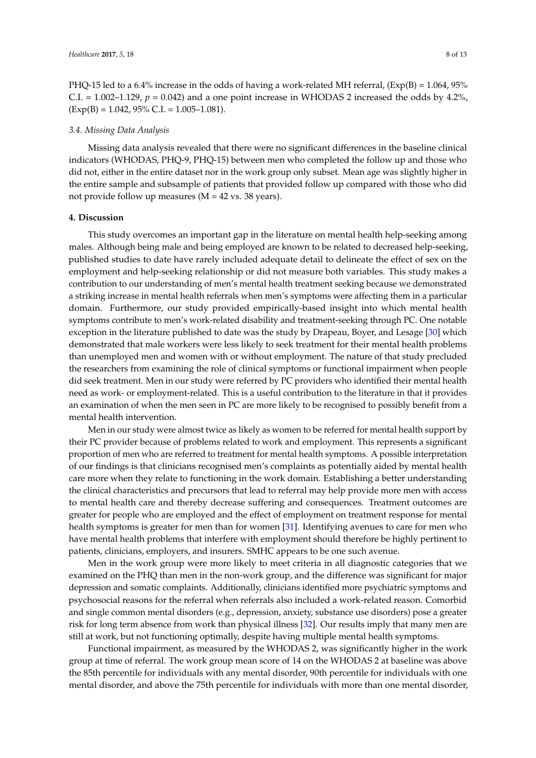PHQ-15 led to a 6.4% increase in the odds of having a work-related MH referral,  $(\text{Exp}(B) = 1.064, 95\%)$ C.I.  $= 1.002-1.129$ ,  $p = 0.042$ ) and a one point increase in WHODAS 2 increased the odds by 4.2%,  $(Exp(B) = 1.042, 95\% \text{ C.I.} = 1.005\text{--}1.081).$ 

#### *3.4. Missing Data Analysis*

Missing data analysis revealed that there were no significant differences in the baseline clinical indicators (WHODAS, PHQ-9, PHQ-15) between men who completed the follow up and those who did not, either in the entire dataset nor in the work group only subset. Mean age was slightly higher in the entire sample and subsample of patients that provided follow up compared with those who did not provide follow up measures ( $M = 42$  vs. 38 years).

## **4. Discussion**

This study overcomes an important gap in the literature on mental health help-seeking among males. Although being male and being employed are known to be related to decreased help-seeking, published studies to date have rarely included adequate detail to delineate the effect of sex on the employment and help-seeking relationship or did not measure both variables. This study makes a contribution to our understanding of men's mental health treatment seeking because we demonstrated a striking increase in mental health referrals when men's symptoms were affecting them in a particular domain. Furthermore, our study provided empirically-based insight into which mental health symptoms contribute to men's work-related disability and treatment-seeking through PC. One notable exception in the literature published to date was the study by Drapeau, Boyer, and Lesage [\[30\]](#page-11-12) which demonstrated that male workers were less likely to seek treatment for their mental health problems than unemployed men and women with or without employment. The nature of that study precluded the researchers from examining the role of clinical symptoms or functional impairment when people did seek treatment. Men in our study were referred by PC providers who identified their mental health need as work- or employment-related. This is a useful contribution to the literature in that it provides an examination of when the men seen in PC are more likely to be recognised to possibly benefit from a mental health intervention.

Men in our study were almost twice as likely as women to be referred for mental health support by their PC provider because of problems related to work and employment. This represents a significant proportion of men who are referred to treatment for mental health symptoms. A possible interpretation of our findings is that clinicians recognised men's complaints as potentially aided by mental health care more when they relate to functioning in the work domain. Establishing a better understanding the clinical characteristics and precursors that lead to referral may help provide more men with access to mental health care and thereby decrease suffering and consequences. Treatment outcomes are greater for people who are employed and the effect of employment on treatment response for mental health symptoms is greater for men than for women [\[31\]](#page-11-13). Identifying avenues to care for men who have mental health problems that interfere with employment should therefore be highly pertinent to patients, clinicians, employers, and insurers. SMHC appears to be one such avenue.

Men in the work group were more likely to meet criteria in all diagnostic categories that we examined on the PHQ than men in the non-work group, and the difference was significant for major depression and somatic complaints. Additionally, clinicians identified more psychiatric symptoms and psychosocial reasons for the referral when referrals also included a work-related reason. Comorbid and single common mental disorders (e.g., depression, anxiety, substance use disorders) pose a greater risk for long term absence from work than physical illness [\[32\]](#page-11-14). Our results imply that many men are still at work, but not functioning optimally, despite having multiple mental health symptoms.

Functional impairment, as measured by the WHODAS 2, was significantly higher in the work group at time of referral. The work group mean score of 14 on the WHODAS 2 at baseline was above the 85th percentile for individuals with any mental disorder, 90th percentile for individuals with one mental disorder, and above the 75th percentile for individuals with more than one mental disorder,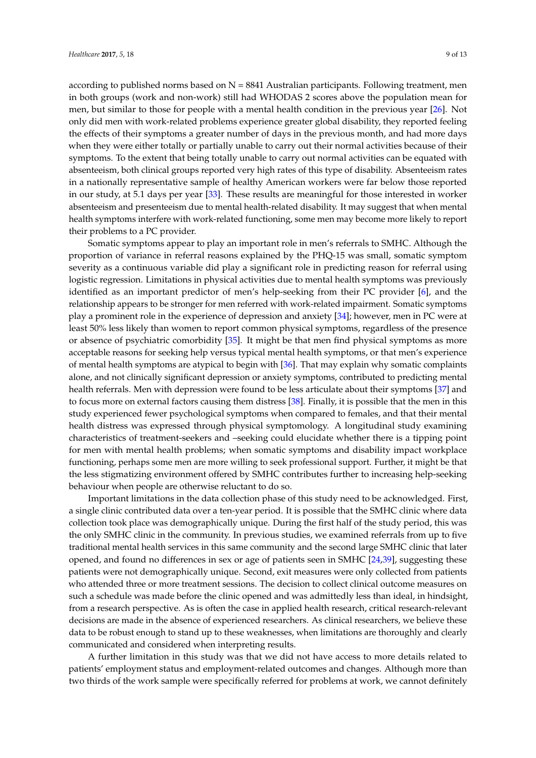according to published norms based on  $N = 8841$  Australian participants. Following treatment, men in both groups (work and non-work) still had WHODAS 2 scores above the population mean for men, but similar to those for people with a mental health condition in the previous year [\[26\]](#page-11-8). Not only did men with work-related problems experience greater global disability, they reported feeling the effects of their symptoms a greater number of days in the previous month, and had more days when they were either totally or partially unable to carry out their normal activities because of their symptoms. To the extent that being totally unable to carry out normal activities can be equated with absenteeism, both clinical groups reported very high rates of this type of disability. Absenteeism rates in a nationally representative sample of healthy American workers were far below those reported in our study, at 5.1 days per year [\[33\]](#page-11-15). These results are meaningful for those interested in worker absenteeism and presenteeism due to mental health-related disability. It may suggest that when mental health symptoms interfere with work-related functioning, some men may become more likely to report their problems to a PC provider.

Somatic symptoms appear to play an important role in men's referrals to SMHC. Although the proportion of variance in referral reasons explained by the PHQ-15 was small, somatic symptom severity as a continuous variable did play a significant role in predicting reason for referral using logistic regression. Limitations in physical activities due to mental health symptoms was previously identified as an important predictor of men's help-seeking from their PC provider [\[6\]](#page-10-5), and the relationship appears to be stronger for men referred with work-related impairment. Somatic symptoms play a prominent role in the experience of depression and anxiety [\[34\]](#page-11-16); however, men in PC were at least 50% less likely than women to report common physical symptoms, regardless of the presence or absence of psychiatric comorbidity [\[35\]](#page-11-17). It might be that men find physical symptoms as more acceptable reasons for seeking help versus typical mental health symptoms, or that men's experience of mental health symptoms are atypical to begin with [\[36\]](#page-11-18). That may explain why somatic complaints alone, and not clinically significant depression or anxiety symptoms, contributed to predicting mental health referrals. Men with depression were found to be less articulate about their symptoms [\[37\]](#page-11-19) and to focus more on external factors causing them distress [\[38\]](#page-11-20). Finally, it is possible that the men in this study experienced fewer psychological symptoms when compared to females, and that their mental health distress was expressed through physical symptomology. A longitudinal study examining characteristics of treatment-seekers and –seeking could elucidate whether there is a tipping point for men with mental health problems; when somatic symptoms and disability impact workplace functioning, perhaps some men are more willing to seek professional support. Further, it might be that the less stigmatizing environment offered by SMHC contributes further to increasing help-seeking behaviour when people are otherwise reluctant to do so.

Important limitations in the data collection phase of this study need to be acknowledged. First, a single clinic contributed data over a ten-year period. It is possible that the SMHC clinic where data collection took place was demographically unique. During the first half of the study period, this was the only SMHC clinic in the community. In previous studies, we examined referrals from up to five traditional mental health services in this same community and the second large SMHC clinic that later opened, and found no differences in sex or age of patients seen in SMHC [\[24,](#page-11-6)[39\]](#page-11-21), suggesting these patients were not demographically unique. Second, exit measures were only collected from patients who attended three or more treatment sessions. The decision to collect clinical outcome measures on such a schedule was made before the clinic opened and was admittedly less than ideal, in hindsight, from a research perspective. As is often the case in applied health research, critical research-relevant decisions are made in the absence of experienced researchers. As clinical researchers, we believe these data to be robust enough to stand up to these weaknesses, when limitations are thoroughly and clearly communicated and considered when interpreting results.

A further limitation in this study was that we did not have access to more details related to patients' employment status and employment-related outcomes and changes. Although more than two thirds of the work sample were specifically referred for problems at work, we cannot definitely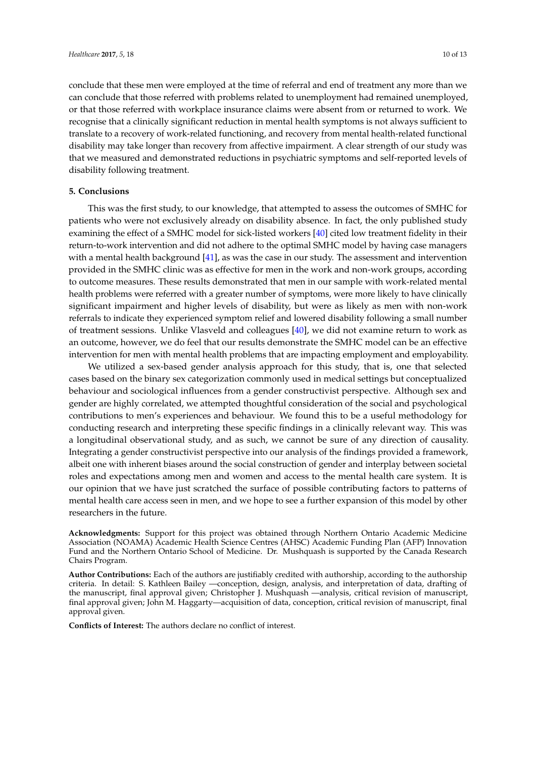conclude that these men were employed at the time of referral and end of treatment any more than we can conclude that those referred with problems related to unemployment had remained unemployed, or that those referred with workplace insurance claims were absent from or returned to work. We recognise that a clinically significant reduction in mental health symptoms is not always sufficient to translate to a recovery of work-related functioning, and recovery from mental health-related functional disability may take longer than recovery from affective impairment. A clear strength of our study was that we measured and demonstrated reductions in psychiatric symptoms and self-reported levels of disability following treatment.

## **5. Conclusions**

This was the first study, to our knowledge, that attempted to assess the outcomes of SMHC for patients who were not exclusively already on disability absence. In fact, the only published study examining the effect of a SMHC model for sick-listed workers [\[40\]](#page-12-0) cited low treatment fidelity in their return-to-work intervention and did not adhere to the optimal SMHC model by having case managers with a mental health background [\[41\]](#page-12-1), as was the case in our study. The assessment and intervention provided in the SMHC clinic was as effective for men in the work and non-work groups, according to outcome measures. These results demonstrated that men in our sample with work-related mental health problems were referred with a greater number of symptoms, were more likely to have clinically significant impairment and higher levels of disability, but were as likely as men with non-work referrals to indicate they experienced symptom relief and lowered disability following a small number of treatment sessions. Unlike Vlasveld and colleagues [\[40\]](#page-12-0), we did not examine return to work as an outcome, however, we do feel that our results demonstrate the SMHC model can be an effective intervention for men with mental health problems that are impacting employment and employability.

We utilized a sex-based gender analysis approach for this study, that is, one that selected cases based on the binary sex categorization commonly used in medical settings but conceptualized behaviour and sociological influences from a gender constructivist perspective. Although sex and gender are highly correlated, we attempted thoughtful consideration of the social and psychological contributions to men's experiences and behaviour. We found this to be a useful methodology for conducting research and interpreting these specific findings in a clinically relevant way. This was a longitudinal observational study, and as such, we cannot be sure of any direction of causality. Integrating a gender constructivist perspective into our analysis of the findings provided a framework, albeit one with inherent biases around the social construction of gender and interplay between societal roles and expectations among men and women and access to the mental health care system. It is our opinion that we have just scratched the surface of possible contributing factors to patterns of mental health care access seen in men, and we hope to see a further expansion of this model by other researchers in the future.

**Acknowledgments:** Support for this project was obtained through Northern Ontario Academic Medicine Association (NOAMA) Academic Health Science Centres (AHSC) Academic Funding Plan (AFP) Innovation Fund and the Northern Ontario School of Medicine. Dr. Mushquash is supported by the Canada Research Chairs Program.

**Author Contributions:** Each of the authors are justifiably credited with authorship, according to the authorship criteria. In detail: S. Kathleen Bailey —conception, design, analysis, and interpretation of data, drafting of the manuscript, final approval given; Christopher J. Mushquash —analysis, critical revision of manuscript, final approval given; John M. Haggarty—acquisition of data, conception, critical revision of manuscript, final approval given.

**Conflicts of Interest:** The authors declare no conflict of interest.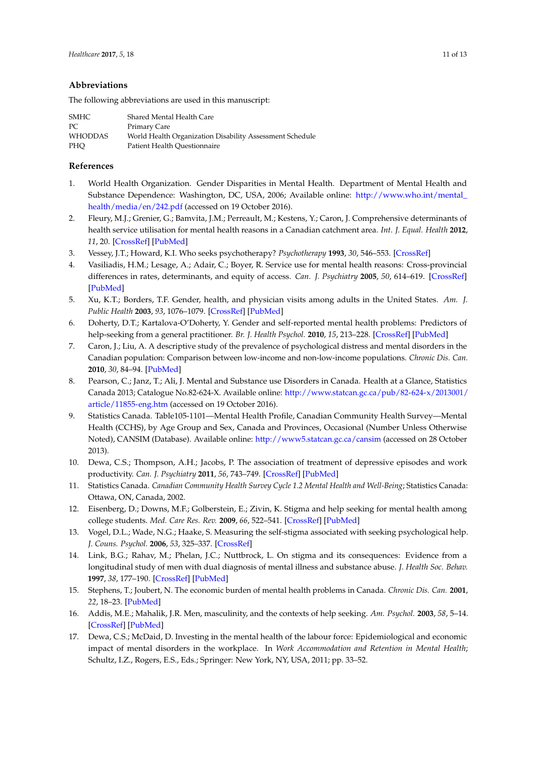# **Abbreviations**

The following abbreviations are used in this manuscript:

| SMHC       | Shared Mental Health Care                                |
|------------|----------------------------------------------------------|
| PC.        | Primary Care                                             |
| WHODDAS    | World Health Organization Disability Assessment Schedule |
| <b>PHO</b> | Patient Health Ouestionnaire                             |

# **References**

- <span id="page-10-0"></span>1. World Health Organization. Gender Disparities in Mental Health. Department of Mental Health and Substance Dependence: Washington, DC, USA, 2006; Available online: [http://www.who.int/mental\\_](http://www.who.int/mental_health/media/en/242.pdf) [health/media/en/242.pdf](http://www.who.int/mental_health/media/en/242.pdf) (accessed on 19 October 2016).
- <span id="page-10-1"></span>2. Fleury, M.J.; Grenier, G.; Bamvita, J.M.; Perreault, M.; Kestens, Y.; Caron, J. Comprehensive determinants of health service utilisation for mental health reasons in a Canadian catchment area. *Int. J. Equal. Health* **2012**, *11*, 20. [\[CrossRef\]](http://dx.doi.org/10.1186/1475-9276-11-20) [\[PubMed\]](http://www.ncbi.nlm.nih.gov/pubmed/22469459)
- <span id="page-10-2"></span>3. Vessey, J.T.; Howard, K.I. Who seeks psychotherapy? *Psychotherapy* **1993**, *30*, 546–553. [\[CrossRef\]](http://dx.doi.org/10.1037/0033-3204.30.4.546)
- <span id="page-10-3"></span>4. Vasiliadis, H.M.; Lesage, A.; Adair, C.; Boyer, R. Service use for mental health reasons: Cross-provincial differences in rates, determinants, and equity of access. *Can. J. Psychiatry* **2005**, *50*, 614–619. [\[CrossRef\]](http://dx.doi.org/10.1177/070674370505001007) [\[PubMed\]](http://www.ncbi.nlm.nih.gov/pubmed/16276852)
- <span id="page-10-4"></span>5. Xu, K.T.; Borders, T.F. Gender, health, and physician visits among adults in the United States. *Am. J. Public Health* **2003**, *93*, 1076–1079. [\[CrossRef\]](http://dx.doi.org/10.2105/AJPH.93.7.1076) [\[PubMed\]](http://www.ncbi.nlm.nih.gov/pubmed/12835185)
- <span id="page-10-5"></span>6. Doherty, D.T.; Kartalova-O'Doherty, Y. Gender and self-reported mental health problems: Predictors of help-seeking from a general practitioner. *Br. J. Health Psychol.* **2010**, *15*, 213–228. [\[CrossRef\]](http://dx.doi.org/10.1348/135910709X457423) [\[PubMed\]](http://www.ncbi.nlm.nih.gov/pubmed/19527564)
- <span id="page-10-6"></span>7. Caron, J.; Liu, A. A descriptive study of the prevalence of psychological distress and mental disorders in the Canadian population: Comparison between low-income and non-low-income populations. *Chronic Dis. Can.* **2010**, *30*, 84–94. [\[PubMed\]](http://www.ncbi.nlm.nih.gov/pubmed/20609292)
- <span id="page-10-7"></span>8. Pearson, C.; Janz, T.; Ali, J. Mental and Substance use Disorders in Canada. Health at a Glance, Statistics Canada 2013; Catalogue No.82-624-X. Available online: [http://www.statcan.gc.ca/pub/82-624-x/2013001/](http://www.statcan.gc.ca/pub/82-624-x/2013001/article/11855-eng.htm) [article/11855-eng.htm](http://www.statcan.gc.ca/pub/82-624-x/2013001/article/11855-eng.htm) (accessed on 19 October 2016).
- <span id="page-10-8"></span>9. Statistics Canada. Table105-1101—Mental Health Profile, Canadian Community Health Survey—Mental Health (CCHS), by Age Group and Sex, Canada and Provinces, Occasional (Number Unless Otherwise Noted), CANSIM (Database). Available online: <http://www5.statcan.gc.ca/cansim> (accessed on 28 October 2013).
- <span id="page-10-9"></span>10. Dewa, C.S.; Thompson, A.H.; Jacobs, P. The association of treatment of depressive episodes and work productivity. *Can. J. Psychiatry* **2011**, *56*, 743–749. [\[CrossRef\]](http://dx.doi.org/10.1177/070674371105601206) [\[PubMed\]](http://www.ncbi.nlm.nih.gov/pubmed/22152643)
- <span id="page-10-10"></span>11. Statistics Canada. *Canadian Community Health Survey Cycle 1.2 Mental Health and Well-Being*; Statistics Canada: Ottawa, ON, Canada, 2002.
- <span id="page-10-11"></span>12. Eisenberg, D.; Downs, M.F.; Golberstein, E.; Zivin, K. Stigma and help seeking for mental health among college students. *Med. Care Res. Rev.* **2009**, *66*, 522–541. [\[CrossRef\]](http://dx.doi.org/10.1177/1077558709335173) [\[PubMed\]](http://www.ncbi.nlm.nih.gov/pubmed/19454625)
- <span id="page-10-12"></span>13. Vogel, D.L.; Wade, N.G.; Haake, S. Measuring the self-stigma associated with seeking psychological help. *J. Couns. Psychol.* **2006**, *53*, 325–337. [\[CrossRef\]](http://dx.doi.org/10.1037/0022-0167.53.3.325)
- <span id="page-10-13"></span>14. Link, B.G.; Rahav, M.; Phelan, J.C.; Nuttbrock, L. On stigma and its consequences: Evidence from a longitudinal study of men with dual diagnosis of mental illness and substance abuse. *J. Health Soc. Behav.* **1997**, *38*, 177–190. [\[CrossRef\]](http://dx.doi.org/10.2307/2955424) [\[PubMed\]](http://www.ncbi.nlm.nih.gov/pubmed/9212538)
- <span id="page-10-14"></span>15. Stephens, T.; Joubert, N. The economic burden of mental health problems in Canada. *Chronic Dis. Can.* **2001**, *22*, 18–23. [\[PubMed\]](http://www.ncbi.nlm.nih.gov/pubmed/11397346)
- <span id="page-10-15"></span>16. Addis, M.E.; Mahalik, J.R. Men, masculinity, and the contexts of help seeking. *Am. Psychol.* **2003**, *58*, 5–14. [\[CrossRef\]](http://dx.doi.org/10.1037/0003-066X.58.1.5) [\[PubMed\]](http://www.ncbi.nlm.nih.gov/pubmed/12674814)
- <span id="page-10-16"></span>17. Dewa, C.S.; McDaid, D. Investing in the mental health of the labour force: Epidemiological and economic impact of mental disorders in the workplace. In *Work Accommodation and Retention in Mental Health*; Schultz, I.Z., Rogers, E.S., Eds.; Springer: New York, NY, USA, 2011; pp. 33–52.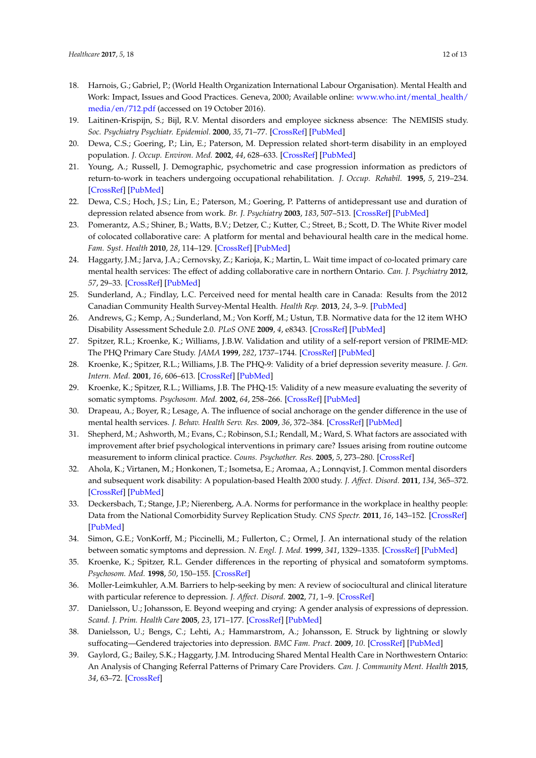- <span id="page-11-0"></span>18. Harnois, G.; Gabriel, P.; (World Health Organization International Labour Organisation). Mental Health and Work: Impact, Issues and Good Practices. Geneva, 2000; Available online: [www.who.int/mental\\_health/](www.who.int/mental_health/media/en/712.pdf) [media/en/712.pdf](www.who.int/mental_health/media/en/712.pdf) (accessed on 19 October 2016).
- <span id="page-11-1"></span>19. Laitinen-Krispijn, S.; Bijl, R.V. Mental disorders and employee sickness absence: The NEMISIS study. *Soc. Psychiatry Psychiatr. Epidemiol.* **2000**, *35*, 71–77. [\[CrossRef\]](http://dx.doi.org/10.1007/s001270050010) [\[PubMed\]](http://www.ncbi.nlm.nih.gov/pubmed/10784369)
- <span id="page-11-2"></span>20. Dewa, C.S.; Goering, P.; Lin, E.; Paterson, M. Depression related short-term disability in an employed population. *J. Occup. Environ. Med.* **2002**, *44*, 628–633. [\[CrossRef\]](http://dx.doi.org/10.1097/00043764-200207000-00007) [\[PubMed\]](http://www.ncbi.nlm.nih.gov/pubmed/12134526)
- <span id="page-11-3"></span>21. Young, A.; Russell, J. Demographic, psychometric and case progression information as predictors of return-to-work in teachers undergoing occupational rehabilitation. *J. Occup. Rehabil.* **1995**, *5*, 219–234. [\[CrossRef\]](http://dx.doi.org/10.1007/BF02109987) [\[PubMed\]](http://www.ncbi.nlm.nih.gov/pubmed/24234726)
- <span id="page-11-4"></span>22. Dewa, C.S.; Hoch, J.S.; Lin, E.; Paterson, M.; Goering, P. Patterns of antidepressant use and duration of depression related absence from work. *Br. J. Psychiatry* **2003**, *183*, 507–513. [\[CrossRef\]](http://dx.doi.org/10.1192/bjp.183.6.507) [\[PubMed\]](http://www.ncbi.nlm.nih.gov/pubmed/14645021)
- <span id="page-11-5"></span>23. Pomerantz, A.S.; Shiner, B.; Watts, B.V.; Detzer, C.; Kutter, C.; Street, B.; Scott, D. The White River model of colocated collaborative care: A platform for mental and behavioural health care in the medical home. *Fam. Syst. Health* **2010**, *28*, 114–129. [\[CrossRef\]](http://dx.doi.org/10.1037/a0020261) [\[PubMed\]](http://www.ncbi.nlm.nih.gov/pubmed/20695670)
- <span id="page-11-6"></span>24. Haggarty, J.M.; Jarva, J.A.; Cernovsky, Z.; Karioja, K.; Martin, L. Wait time impact of co-located primary care mental health services: The effect of adding collaborative care in northern Ontario. *Can. J. Psychiatry* **2012**, *57*, 29–33. [\[CrossRef\]](http://dx.doi.org/10.1177/070674371205700106) [\[PubMed\]](http://www.ncbi.nlm.nih.gov/pubmed/22296965)
- <span id="page-11-7"></span>25. Sunderland, A.; Findlay, L.C. Perceived need for mental health care in Canada: Results from the 2012 Canadian Community Health Survey-Mental Health. *Health Rep.* **2013**, *24*, 3–9. [\[PubMed\]](http://www.ncbi.nlm.nih.gov/pubmed/24258361)
- <span id="page-11-8"></span>26. Andrews, G.; Kemp, A.; Sunderland, M.; Von Korff, M.; Ustun, T.B. Normative data for the 12 item WHO Disability Assessment Schedule 2.0. *PLoS ONE* **2009**, *4*, e8343. [\[CrossRef\]](http://dx.doi.org/10.1371/journal.pone.0008343) [\[PubMed\]](http://www.ncbi.nlm.nih.gov/pubmed/20020047)
- <span id="page-11-9"></span>27. Spitzer, R.L.; Kroenke, K.; Williams, J.B.W. Validation and utility of a self-report version of PRIME-MD: The PHQ Primary Care Study. *JAMA* **1999**, *282*, 1737–1744. [\[CrossRef\]](http://dx.doi.org/10.1001/jama.282.18.1737) [\[PubMed\]](http://www.ncbi.nlm.nih.gov/pubmed/10568646)
- <span id="page-11-10"></span>28. Kroenke, K.; Spitzer, R.L.; Williams, J.B. The PHQ-9: Validity of a brief depression severity measure. *J. Gen. Intern. Med.* **2001**, *16*, 606–613. [\[CrossRef\]](http://dx.doi.org/10.1046/j.1525-1497.2001.016009606.x) [\[PubMed\]](http://www.ncbi.nlm.nih.gov/pubmed/11556941)
- <span id="page-11-11"></span>29. Kroenke, K.; Spitzer, R.L.; Williams, J.B. The PHQ-15: Validity of a new measure evaluating the severity of somatic symptoms. *Psychosom. Med.* **2002**, *64*, 258–266. [\[CrossRef\]](http://dx.doi.org/10.1097/00006842-200203000-00008) [\[PubMed\]](http://www.ncbi.nlm.nih.gov/pubmed/11914441)
- <span id="page-11-12"></span>30. Drapeau, A.; Boyer, R.; Lesage, A. The influence of social anchorage on the gender difference in the use of mental health services. *J. Behav. Health Serv. Res.* **2009**, *36*, 372–384. [\[CrossRef\]](http://dx.doi.org/10.1007/s11414-009-9168-0) [\[PubMed\]](http://www.ncbi.nlm.nih.gov/pubmed/19252987)
- <span id="page-11-13"></span>31. Shepherd, M.; Ashworth, M.; Evans, C.; Robinson, S.I.; Rendall, M.; Ward, S. What factors are associated with improvement after brief psychological interventions in primary care? Issues arising from routine outcome measurement to inform clinical practice. *Couns. Psychother. Res.* **2005**, *5*, 273–280. [\[CrossRef\]](http://dx.doi.org/10.1080/14733140600571326)
- <span id="page-11-14"></span>32. Ahola, K.; Virtanen, M.; Honkonen, T.; Isometsa, E.; Aromaa, A.; Lonnqvist, J. Common mental disorders and subsequent work disability: A population-based Health 2000 study. *J. Affect. Disord.* **2011**, *134*, 365–372. [\[CrossRef\]](http://dx.doi.org/10.1016/j.jad.2011.05.028) [\[PubMed\]](http://www.ncbi.nlm.nih.gov/pubmed/21664696)
- <span id="page-11-15"></span>33. Deckersbach, T.; Stange, J.P.; Nierenberg, A.A. Norms for performance in the workplace in healthy people: Data from the National Comorbidity Survey Replication Study. *CNS Spectr.* **2011**, *16*, 143–152. [\[CrossRef\]](http://dx.doi.org/10.1017/S1092852912000314) [\[PubMed\]](http://www.ncbi.nlm.nih.gov/pubmed/24725499)
- <span id="page-11-16"></span>34. Simon, G.E.; VonKorff, M.; Piccinelli, M.; Fullerton, C.; Ormel, J. An international study of the relation between somatic symptoms and depression. *N. Engl. J. Med.* **1999**, *341*, 1329–1335. [\[CrossRef\]](http://dx.doi.org/10.1056/NEJM199910283411801) [\[PubMed\]](http://www.ncbi.nlm.nih.gov/pubmed/10536124)
- <span id="page-11-17"></span>35. Kroenke, K.; Spitzer, R.L. Gender differences in the reporting of physical and somatoform symptoms. *Psychosom. Med.* **1998**, *50*, 150–155. [\[CrossRef\]](http://dx.doi.org/10.1097/00006842-199803000-00006)
- <span id="page-11-18"></span>36. Moller-Leimkuhler, A.M. Barriers to help-seeking by men: A review of sociocultural and clinical literature with particular reference to depression. *J. Affect. Disord.* **2002**, *71*, 1–9. [\[CrossRef\]](http://dx.doi.org/10.1016/S0165-0327(01)00379-2)
- <span id="page-11-19"></span>37. Danielsson, U.; Johansson, E. Beyond weeping and crying: A gender analysis of expressions of depression. *Scand. J. Prim. Health Care* **2005**, *23*, 171–177. [\[CrossRef\]](http://dx.doi.org/10.1080/02813430510031315) [\[PubMed\]](http://www.ncbi.nlm.nih.gov/pubmed/16162470)
- <span id="page-11-20"></span>38. Danielsson, U.; Bengs, C.; Lehti, A.; Hammarstrom, A.; Johansson, E. Struck by lightning or slowly suffocating—Gendered trajectories into depression. *BMC Fam. Pract.* **2009**, *10*. [\[CrossRef\]](http://dx.doi.org/10.1186/1471-2296-10-56) [\[PubMed\]](http://www.ncbi.nlm.nih.gov/pubmed/19671133)
- <span id="page-11-21"></span>39. Gaylord, G.; Bailey, S.K.; Haggarty, J.M. Introducing Shared Mental Health Care in Northwestern Ontario: An Analysis of Changing Referral Patterns of Primary Care Providers. *Can. J. Community Ment. Health* **2015**, *34*, 63–72. [\[CrossRef\]](http://dx.doi.org/10.7870/cjcmh-2015-020)